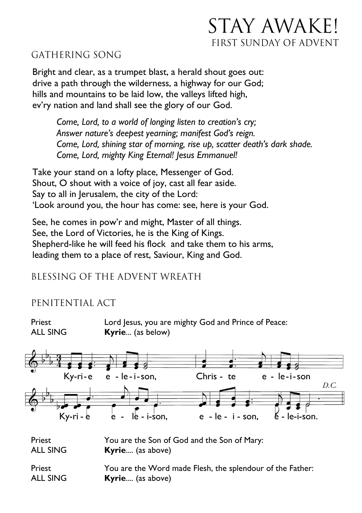# STAY AWAKE! FIRST SUNDAY OF ADVENT

### GATHERING SONG

Bright and clear, as a trumpet blast, a herald shout goes out: drive a path through the wilderness, a highway for our God; hills and mountains to be laid low, the valleys lifted high, ev'ry nation and land shall see the glory of our God.

*Come, Lord, to a world of longing listen to creation's cry; Answer nature's deepest yearning; manifest God's reign. Come, Lord, shining star of morning, rise up, scatter death's dark shade. Come, Lord, mighty King Eternal! Jesus Emmanuel!*

Take your stand on a lofty place, Messenger of God. Shout, O shout with a voice of joy, cast all fear aside. Say to all in Jerusalem, the city of the Lord: 'Look around you, the hour has come: see, here is your God.

See, he comes in pow'r and might, Master of all things. See, the Lord of Victories, he is the King of Kings. Shepherd-like he will feed his flock and take them to his arms, leading them to a place of rest, Saviour, King and God.

### BLESSING OF THE ADVENT WREATH

### PENITENTIAL ACT

Priest **Lord Jesus, you are mighty God and Prince of Peace:** ALL SING **Kyrie**... (as below)



Priest You are the Son of God and the Son of Mary: ALL SING **Kyrie**.... (as above)

Priest **You are the Word made Flesh, the splendour of the Father:** ALL SING **Kyrie**.... (as above)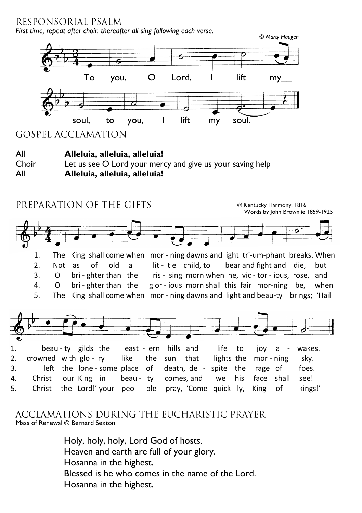RESPONSORIAL PSALM

*First time, repeat after choir, thereafter all sing following each verse.*



ACCLAMATIONS DURING THE EUCHARISTIC PRAYER Mass of Renewal © Bernard Sexton

> Holy, holy, holy, Lord God of hosts. Heaven and earth are full of your glory. Hosanna in the highest. Blessed is he who comes in the name of the Lord. Hosanna in the highest.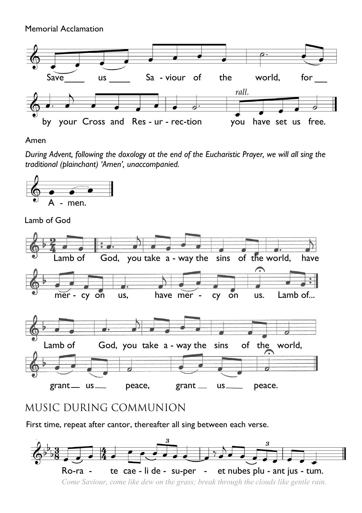Memorial Acclamation



#### Amen

*During Advent, following the doxology at the end of the Eucharistic Prayer, we will all sing the traditional (plainchant) 'Amen', unaccompanied.*



Lamb of God



## MUSIC DURING COMMUNION

First time, repeat after cantor, thereafter all sing between each verse.



*Come Saviour, come like dew on the grass; break through the clouds like gentle rain.*